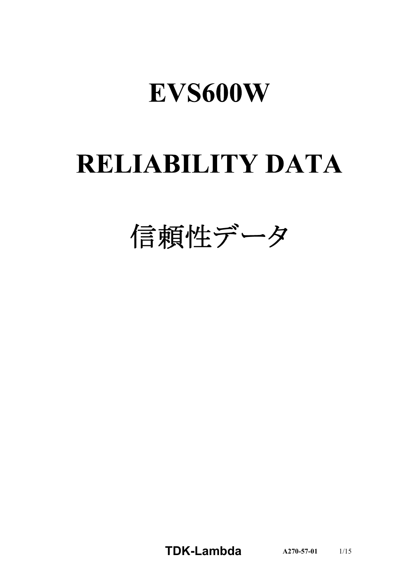# EVS600W

# **RELIABILITY DATA**

信頼性データ

**TDK-Lambda A270-57-01** 1/15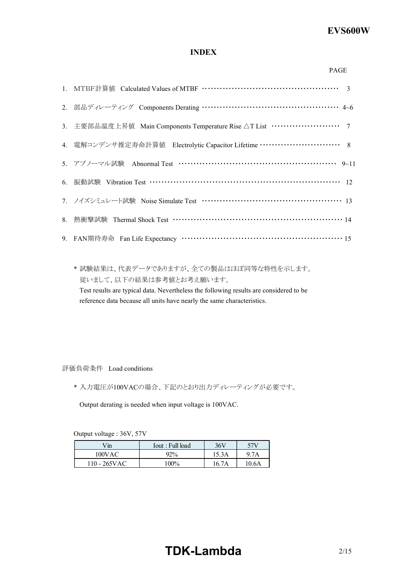# **INDEX**

| ۰, |
|----|

| 2. 部品ディレーティング Components Derating …………………………………………… 4~6                          |
|----------------------------------------------------------------------------------|
| 3. 主要部品温度上昇值 Main Components Temperature Rise △T List ························ 7 |
| 4. 電解コンデンサ推定寿命計算値 Electrolytic Capacitor Lifetime …………………………… 8                  |
| 5. アブノーマル試験 Abnormal Test ………………………………………………… 9~11                               |
| 6. 振動試験 Vibration Test …………………………………………………………… 12                                |
| 7. ノイズシミュレート試験 Noise Simulate Test ……………………………………………… 13                         |
|                                                                                  |
| 9. FAN期待寿命 Fan Life Expectancy …………………………………………………… 15                           |

\* 試験結果は、代表データでありますが、全ての製品はほぼ同等な特性を示します。 従いまして、以下の結果は参考値とお考え願います。 Test results are typical data. Nevertheless the following results are considered to be reference data because all units have nearly the same characteristics.

評価負荷条件 Load conditions

\* 入力電圧が100VACの場合、下記のとおり出力ディレーティングが必要です。

Output derating is needed when input voltage is 100VAC.

Output voltage : 36V, 57V

| Vin             | Tout : Full load | 36V   | 57V   |
|-----------------|------------------|-------|-------|
| 100VAC          | 92%              | 15.3A | 9.7A  |
| $110 - 265$ VAC | $100\%$          | 16.7A | 10.6A |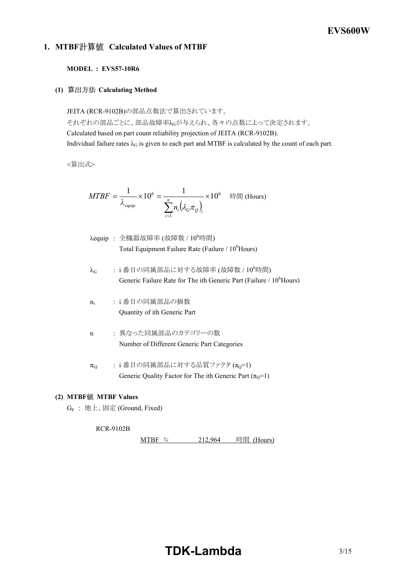# **1. MTBF Calculated Values of MTBF**

## **MODEL : EVS57-10R6**

**(1) Calculating Method**

JEITA (RCR-9102B)の部品点数法で算出されています。 それぞれの部品ごとに、部品故障率λGが与えられ、各々の点数によって決定されます。 Calculated based on part count reliability projection of JEITA (RCR-9102B). Individual failure rates  $\lambda_G$  is given to each part and MTBF is calculated by the count of each part.

<算出式>

$$
MTBF = \frac{1}{\lambda_{\text{equip}}} \times 10^6 = \frac{1}{\sum_{i=1}^n n_i (\lambda_{\text{c}} \pi_{\text{Q}})_i} \times 10^6 \quad \text{iff} \quad \text{(Hours)}
$$

- $\lambda$ equip : 全機器故障率 (故障数 /  $10^6$ 時間) Total Equipment Failure Rate (Failure  $/ 10<sup>6</sup>$ Hours)
- $\lambda_G$  : i番目の同属部品に対する故障率 (故障数 / 10 $^6$ 時間) Generic Failure Rate for The ith Generic Part (Failure / 10<sup>6</sup>Hours)
- $n_i$ : i 番目の同属部品の個数 Quantity of ith Generic Part
- n : 異なった同属部品のカテゴリーの数 Number of Different Generic Part Categories
- $\pi_{Q}$  : i 番目の同属部品に対する品質ファクタ $(\pi_{Q}=1)$ Generic Quality Factor for The ith Generic Part ( $\pi_0$ =1)

## **(2) MTBF MTBF Values**

G<sup>F</sup> : 地上、固定 (Ground, Fixed)

#### RCR-9102B

MTBF ≒  $212,964$  時間 (Hours)

# **TDK-Lambda** 3/15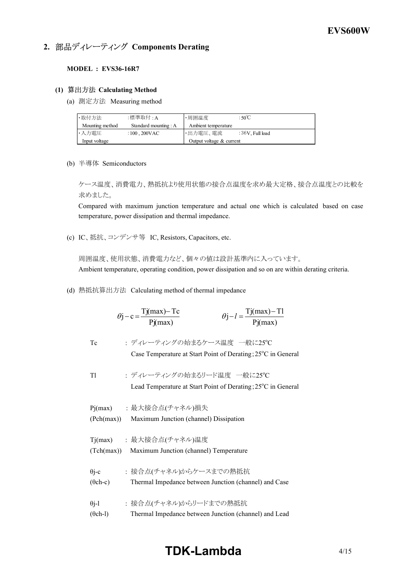# **2. 部品ディレーティング Components Derating**

#### **MODEL : EVS36-16R7**

#### **(1) Calculating Method**

(a) 測定方法 Measuring method

| ・取付方法           | :標準取付 : A                  | ⊩周囲温度                      | : $50^{\circ}$ C |  |  |  |  |  |
|-----------------|----------------------------|----------------------------|------------------|--|--|--|--|--|
| Mounting method | Standard mounting : A      | Ambient temperature        |                  |  |  |  |  |  |
| ・入力電圧           | : $100$ , $200 \text{VAC}$ | ・出力電圧、電流                   | :36V. Full load  |  |  |  |  |  |
| Input voltage   |                            | Output voltage $&$ current |                  |  |  |  |  |  |

(b) 半導体 Semiconductors

ケース温度、消費電力、熱抵抗より使用状態の接合点温度を求め最大定格、接合点温度との比較を 求めました。

Compared with maximum junction temperature and actual one which is calculated based on case temperature, power dissipation and thermal impedance.

(c) IC、抵抗、コンデンサ等 IC, Resistors, Capacitors, etc.

周囲温度、使用状態、消費電力など、個々の値は設計基準内に入っています。 Ambient temperature, operating condition, power dissipation and so on are within derating criteria.

(d) 熱抵抗算出方法 Calculating method of thermal impedance

|                                 | $\theta$ j – c = $\frac{Tj(max) - Tc}{Pj(max)}$                                                         | $\theta j - l = \frac{Tj(max) - Tl}{Pi(max)}$ |
|---------------------------------|---------------------------------------------------------------------------------------------------------|-----------------------------------------------|
| Тc                              | : ディレーティングの始まるケース温度 一般に25℃<br>Case Temperature at Start Point of Derating; 25 <sup>°</sup> C in General |                                               |
| Tl                              | : ディレーティングの始まるリード温度 一般に25℃<br>Lead Temperature at Start Point of Derating; 25 <sup>°</sup> C in General |                                               |
| (Pch(max))                      | Pj(max)  : 最大接合点(チャネル)損失<br>Maximum Junction (channel) Dissipation                                      |                                               |
|                                 | Tj(max) : 最大接合点(チャネル)温度<br>(Tch(max)) Maximum Junction (channel) Temperature                            |                                               |
| $\theta$ j-c<br>$(\theta$ ch-c) | : 接合点(チャネル)からケースまでの熱抵抗<br>Thermal Impedance between Junction (channel) and Case                         |                                               |
| $\theta$ j-1<br>$(\theta$ ch-l) | : 接合点(チャネル)からリードまでの熱抵抗<br>Thermal Impedance between Junction (channel) and Lead                         |                                               |

# **TDK-Lambda**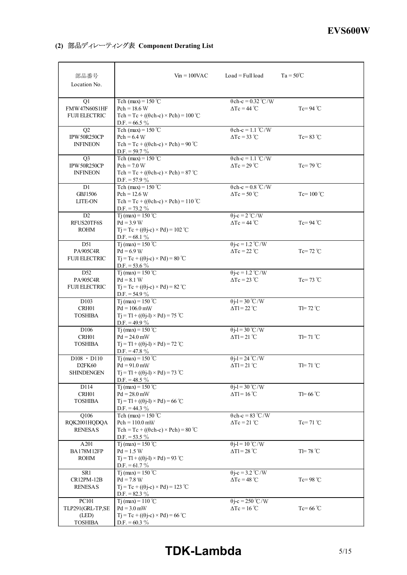# **(2) 部品ディレーティング表 Component Derating List**

| 部品番号<br>Location No.                                         | $V_{\text{in}} = 100 \text{VAC}$                                                                                       | $Load = Full load$                                                    | $Ta = 50^{\circ}C$  |
|--------------------------------------------------------------|------------------------------------------------------------------------------------------------------------------------|-----------------------------------------------------------------------|---------------------|
| Q1<br>FMW47N60S1HF<br><b>FUJI ELECTRIC</b>                   | Tch (max) = $150^{\circ}$ C<br>$Pch = 18.6 W$<br>$Tch = Tc + ((\theta ch-c) \times Pch) = 100$ °C<br>D.F. = $66.5\%$   | $\theta$ ch-c = 0.32 °C/W<br>$\Delta Tc = 44 \degree C$               | $Tc = 94$ °C        |
| Q2<br>IPW 50R250CP<br><b>INFINEON</b>                        | Tch (max) = $150^{\circ}$ C<br>$Pch = 6.4 W$<br>Tch = Tc + (( $\theta$ ch-c) × Pch) = 90 °C<br>$D.F. = 59.7 \%$        | $\theta$ ch-c = 1.1 °C/W<br>$\Delta Tc = 33 \text{ }^{\circ}\text{C}$ | $Tc = 83$ °C        |
| Q <sub>3</sub><br>IPW 50R250CP<br><b>INFINEON</b>            | Tch (max) = $150^{\circ}$ C<br>$Pch = 7.0 W$<br>$Tch = Tc + ((\theta ch-c) \times Pch) = 87$ °C<br>$D.F. = 57.9 \%$    | $\theta$ ch-c = 1.1 °C/W<br>$\Delta Tc = 29^{\circ}C$                 | $Tc=79 °C$          |
| D1<br>GBJ1506<br>LITE-ON                                     | Tch (max) = $150^{\circ}$ C<br>$Pch = 12.6 W$<br>Tch = Tc + (( $\theta$ ch-c) × Pch) = 110 °C<br>$D.F. = 73.2 \%$      | $\theta$ ch-c = 0.8 °C/W<br>$\Delta Tc = 50^{\circ}C$                 | Tc= $100^{\circ}$ C |
| D2<br>RFUS20TF6S<br><b>ROHM</b>                              | $Ti$ (max) = 150 °C<br>$Pd = 3.9 W$<br>$Tj = Tc + ((\theta j - c) \times Pd) = 102$ °C<br>$D.F. = 68.1 \%$             | $\theta$ j-c = 2 °C/W<br>$\Delta Tc = 44^{\circ}C$                    | Tc=94 $°C$          |
| D51<br>PA905C4R<br><b>FUJI ELECTRIC</b>                      | $Ti$ (max) = 150 °C<br>$Pd = 6.9 W$<br>$Tj = Tc + ((\theta j - c) \times Pd) = 80$ °C<br>D.F. = $53.6\%$               | $\theta$ j-c = 1.2 °C/W<br>$ATc = 22 °C$                              | $Te = 72 °C$        |
| D <sub>52</sub><br>PA905C4R<br><b>FUJI ELECTRIC</b>          | $Ti$ (max) = 150 °C<br>$Pd = 8.1 W$<br>$Tj = Tc + ((\theta j - c) \times Pd) = 82$ °C<br>D.F. = $54.9\%$               | $\theta$ j-c = 1.2 °C/W<br>$\Delta Tc = 23$ °C                        | $Tc = 73$ °C        |
| D <sub>103</sub><br>CRH01<br><b>TOSHIBA</b>                  | $Ti$ (max) = 150 °C<br>$Pd = 106.0$ mW<br>$Tj = T1 + ((\theta j - 1) \times Pd) = 75$ °C<br>D.F. = 49.9 $\%$           | $\theta$ j-l = 30 °C/W<br>$\Delta T l = 22 \text{ }^{\circ}\text{C}$  | $TI=72$ °C          |
| D <sub>106</sub><br>CRH01<br><b>TOSHIBA</b>                  | $Ti$ (max) = 150 °C<br>$Pd = 24.0$ mW<br>$Tj = T1 + ((\theta j - 1) \times Pd) = 72$ °C<br>D.F. = 47.8 $\%$            | $\theta$ j-l = 30 °C/W<br>$\Delta T1 = 21^{\circ}C$                   | $TI=71^{\circ}C$    |
| $D108 \cdot D110$<br>D <sub>2FK60</sub><br><b>SHINDENGEN</b> | $Ti$ (max) = 150 °C<br>$Pd = 91.0$ mW<br>$Tj = T1 + ((\theta j - 1) \times Pd) = 73$ °C<br>D.F. = 48.5 $\%$            | $\theta$ j-l = 24 °C/W<br>$\Delta Tl = 21^{\circ}C$                   | $TI=71^{\circ}C$    |
| D114<br>CRH01<br><b>TOSHIBA</b>                              | $Ti$ (max) = 150 °C<br>$Pd = 28.0$ mW<br>$Tj = Tl + ((\theta j-l) \times Pd) = 66^{\circ}C$<br>$D.F. = 44.3 \%$        | $\theta$ j-l = 30 °C/W<br>$\Delta T l = 16 \degree C$                 | $T = 66^{\circ}$ C  |
| Q106<br>RQK2001HQDQA<br><b>RENESAS</b>                       | Tch (max) = $150^{\circ}$ C<br>$Pch = 110.0$ mW<br>$Tch = Tc + ((\theta ch-c) \times Pch) = 80$ °C<br>$D.F. = 53.5 \%$ | $\theta$ ch-c = 83 °C/W<br>$\Delta Tc = 21 \degree C$                 | $Tc=71^{\circ}C$    |
| A201<br><b>BA178M12FP</b><br><b>ROHM</b>                     | $Ti$ (max) = 150 °C<br>$Pd = 1.5 W$<br>$Tj = Tl + ((\theta j - l) \times Pd) = 93$ °C<br>$D.F. = 61.7 \%$              | $\theta$ j-l = 10 °C/W<br>$\Delta T l = 28 \text{ °C}$                | $TI=78 °C$          |
| SR1<br>CR12PM-12B<br><b>RENESAS</b>                          | $Ti$ (max) = 150 °C<br>$Pd = 7.8 W$<br>$Tj = Tc + ((\theta j - c) \times Pd) = 123$ °C<br>$D.F. = 82.3 \%$             | $\theta$ j-c = 3.2 °C/W<br>$\Delta Tc = 48$ °C                        | $Tc = 98$ °C        |
| PC101<br>TLP291(GRL-TP,SE<br>(LED)<br><b>TOSHIBA</b>         | Tj (max) = $110^{\circ}$ C<br>$Pd = 3.0$ mW<br>$Tj = Tc + ((\theta j - c) \times Pd) = 66$ °C<br>D.F. = $60.3\%$       | $\theta$ j-c = 250 °C/W<br>$\Delta Tc = 16^{\circ}C$                  | $Tc=66^{\circ}C$    |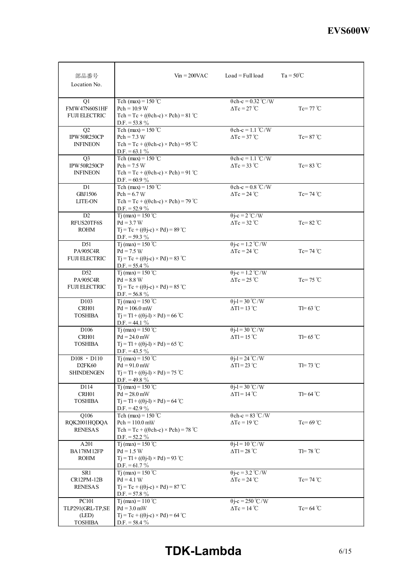| 部品番号<br>Location No.                                    | $V_{\text{in}} = 200 \text{VAC}$                                                                                              | $Load = Full load$                                                   | $Ta = 50^{\circ}C$ |
|---------------------------------------------------------|-------------------------------------------------------------------------------------------------------------------------------|----------------------------------------------------------------------|--------------------|
| Q1<br>FMW47N60S1HF<br><b>FUJI ELECTRIC</b>              | Tch (max) = $150^{\circ}$ C<br>$Pch = 10.9 W$<br>Tch = Tc + (( $\theta$ ch-c) × Pch) = 81 °C<br>$D.F. = 53.8 \%$              | $\theta$ ch-c = 0.32 °C/W<br>$\Delta Tc = 27^{\circ}C$               | $Tc=77 °C$         |
| Q <sub>2</sub><br>IPW 50R250CP<br><b>INFINEON</b>       | Tch (max) = $150^{\circ}$ C<br>$Pch = 7.3 W$<br>Tch = Tc + (( $\theta$ ch-c) × Pch) = 95 °C<br>$D.F. = 63.1 \%$               | $\theta$ ch-c = 1.1 °C/W<br>$\Delta Tc = 37^{\circ}C$                | $Tc=87^{\circ}C$   |
| Q <sub>3</sub><br>IPW 50R250CP<br><b>INFINEON</b>       | Tch (max) = $150^{\circ}$ C<br>$Pch = 7.5 W$<br>Tch = Tc + $((\theta ch-c) \times Pch)$ = 91 °C<br>$D.F. = 60.9 \%$           | $\theta$ ch-c = 1.1 °C/W<br>$\Delta Tc = 33$ °C                      | $Tc=83$ °C         |
| D1<br><b>GBJ1506</b><br><b>LITE-ON</b>                  | Tch (max) = $150^{\circ}$ C<br>$Pch = 6.7 W$<br>$Tch = Tc + ((\theta ch-c) \times Pch) = 79$ °C<br>$D.F. = 52.9 \%$           | $\theta$ ch-c = 0.8 °C/W<br>$\Delta Tc = 24$ °C                      | $Te = 74$ °C       |
| D <sub>2</sub><br>RFUS20TF6S<br><b>ROHM</b>             | T <sub>j</sub> (max) = 150 °C<br>$Pd = 3.7 W$<br>$Tj = Tc + ((\theta j - c) \times Pd) = 89$ °C<br>$D.F. = 59.3 \%$           | $\theta$ j-c = 2 °C/W<br>$\Delta Tc = 32 \degree C$                  | Tc=82 $\degree$ C  |
| D51<br>PA905C4R<br><b>FUJI ELECTRIC</b>                 | Ti (max) = $150^{\circ}$ C<br>$Pd = 7.5 W$<br>$Tj = Tc + ((\theta j - c) \times Pd) = 83$ °C<br>$D.F. = 55.4 \%$              | $\theta$ j-c = 1.2 °C/W<br>$\Delta Tc = 24$ °C                       | $Te = 74$ °C       |
| D <sub>52</sub><br>PA905C4R<br><b>FUJI ELECTRIC</b>     | T <sub>j</sub> (max) = 150 °C<br>$Pd = 8.8 W$<br>$Tj = Tc + ((\theta j - c) \times Pd) = 85$ °C<br>$D.F. = 56.8 \%$           | $\theta$ j-c = 1.2 °C/W<br>$\Delta Tc = 25$ °C                       | Tc=75 $\degree$ C  |
| D <sub>103</sub><br>CRH <sub>01</sub><br><b>TOSHIBA</b> | T <sub>1</sub> (max) = $150^{\circ}$ C<br>$Pd = 106.0$ mW<br>$Tj = Tl + ((\theta j-l) \times Pd) = 66$ °C<br>$D.F. = 44.1 \%$ | $\theta$ j-l = 30 °C/W<br>$\Delta T l = 13 \text{ }^{\circ}\text{C}$ | $T = 63$ °C        |
| D <sub>106</sub><br>CRH01<br><b>TOSHIBA</b>             | Tj (max) = $150^{\circ}$ C<br>$Pd = 24.0$ mW<br>$Tj = T1 + ((\theta j - 1) \times Pd) = 65$ °C<br>$D.F. = 43.5 \%$            | $\theta$ j-l = 30 °C/W<br>$\Delta T l = 15 \degree C$                | $T = 65$ °C        |
| $D108 \cdot D110$<br>D <sub>2FK60</sub><br>SHINDENGEN   | Ti (max) = $150^{\circ}$ C<br>$Pd = 91.0$ mW<br>$Tj = T1 + ((\theta j - 1) \times Pd) = 75$ °C<br>D.F. = 49.8 $\%$            | $\theta$ j-l = 24 °C/W<br>$\Delta T l = 23$ °C                       | $TI=73$ °C         |
| D114<br>CRH01<br><b>TOSHIBA</b>                         | $Ti$ (max) = 150 °C<br>$Pd = 28.0$ mW<br>$Tj = Tl + ((\theta j-l) \times Pd) = 64$ °C<br>$D.F. = 42.9 \%$                     | $\theta$ j-l = 30 °C/W<br>$\Delta T l = 14 \degree C$                | $T = 64$ °C        |
| Q106<br>RQK2001HQDQA<br><b>RENESAS</b>                  | Tch (max) = $150^{\circ}$ C<br>$Pch = 110.0$ mW<br>$Tch = Tc + ((\theta ch-c) \times Pch) = 78$ °C<br>$D.F. = 52.2 \%$        | $\theta$ ch-c = 83 °C/W<br>$\Delta Tc = 19^{\circ}C$                 | $Tc=69^{\circ}C$   |
| A201<br><b>BA178M12FP</b><br><b>ROHM</b>                | Tj (max) = $150 °C$<br>$Pd = 1.5 W$<br>$Tj = Tl + ((\theta j-l) \times Pd) = 93$ °C<br>$D.F. = 61.7 \%$                       | $\theta$ j-l = 10 °C/W<br>$\Delta T l = 28$ °C                       | $TI=78 °C$         |
| SR1<br>CR12PM-12B<br><b>RENESAS</b>                     | T <sub>j</sub> (max) = 150 °C<br>$Pd = 4.1 W$<br>$Tj = Tc + ((\theta j - c) \times Pd) = 87$ °C<br>$D.F. = 57.8 \%$           | $\theta$ j-c = 3.2 °C/W<br>$\Delta Tc = 24$ °C                       | $Tc=74 °C$         |
| PC101<br>TLP291(GRL-TP,SE<br>(LED)<br><b>TOSHIBA</b>    | T <sub>j</sub> (max) = $110^{\circ}$ C<br>$Pd = 3.0$ mW<br>$Tj = Tc + ((\theta j - c) \times Pd) = 64$ °C<br>$D.F. = 58.4 \%$ | $\theta$ j-c = 250 °C/W<br>$\Delta Tc = 14$ °C                       | $Tc = 64$ °C       |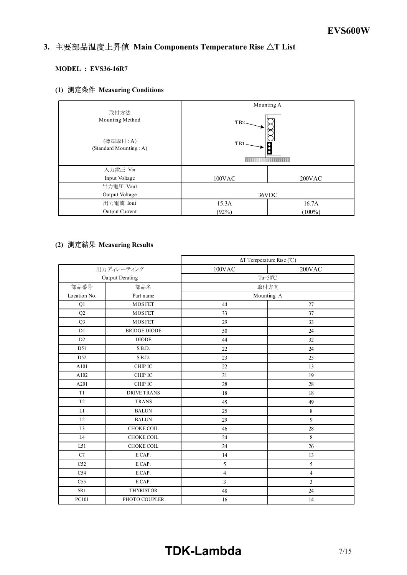#### *INSTRUCTION MANUAL* 3. 主要部品温度上昇值 Main Components Temperature Rise  $\Delta T$  List

# **MODEL : EVS36-16R7**

# **(1) Measuring Conditions**

|                                    | Mounting A       |           |  |  |  |  |
|------------------------------------|------------------|-----------|--|--|--|--|
| 取付方法<br>Mounting Method            | TB <sub>2</sub>  |           |  |  |  |  |
| (標準取付:A)<br>(Standard Mounting: A) | TB1              |           |  |  |  |  |
| 入力電圧 Vin                           |                  |           |  |  |  |  |
| Input Voltage                      | 100VAC<br>200VAC |           |  |  |  |  |
| 出力電圧 Vout                          |                  |           |  |  |  |  |
| Output Voltage                     | 36VDC            |           |  |  |  |  |
| 出力電流 Iout                          | 15.3A            | 16.7A     |  |  |  |  |
| Output Current                     | (92%)            | $(100\%)$ |  |  |  |  |

# **(2) Measuring Results**

|                 |                     | $\Delta T$ Temperature Rise (°C) |                |  |  |  |  |  |  |  |
|-----------------|---------------------|----------------------------------|----------------|--|--|--|--|--|--|--|
|                 | 出力ディレーティング          | 100VAC                           | 200VAC         |  |  |  |  |  |  |  |
|                 | Output Derating     | $Ta=50^{\circ}C$                 |                |  |  |  |  |  |  |  |
| 部品番号            | 部品名                 | 取付方向                             |                |  |  |  |  |  |  |  |
| Location No.    | Part name           |                                  | Mounting A     |  |  |  |  |  |  |  |
| Q1              | <b>MOSFET</b>       | 44                               | 27             |  |  |  |  |  |  |  |
| Q <sub>2</sub>  | <b>MOSFET</b>       | 33                               | 37             |  |  |  |  |  |  |  |
| Q <sub>3</sub>  | <b>MOSFET</b>       | 29                               | 33             |  |  |  |  |  |  |  |
| D1              | <b>BRIDGE DIODE</b> | 50                               | 24             |  |  |  |  |  |  |  |
| D2              | <b>DIODE</b>        | 44                               | 32             |  |  |  |  |  |  |  |
| D51             | S.B.D.              | 22                               | 24             |  |  |  |  |  |  |  |
| D <sub>52</sub> | S.B.D.              | 23                               | 25             |  |  |  |  |  |  |  |
| A101            | CHIP IC             | 22                               | 13             |  |  |  |  |  |  |  |
| A102            | CHIP IC             | 21                               | 19             |  |  |  |  |  |  |  |
| A201            | CHIP IC             | 28                               | 28             |  |  |  |  |  |  |  |
| T1              | <b>DRIVE TRANS</b>  | 18                               | 18             |  |  |  |  |  |  |  |
| T <sub>2</sub>  | <b>TRANS</b>        | 45                               | 49             |  |  |  |  |  |  |  |
| L1              | <b>BALUN</b>        | 25                               | $\,8\,$        |  |  |  |  |  |  |  |
| L2              | <b>BALUN</b>        | 29                               | 9              |  |  |  |  |  |  |  |
| L <sub>3</sub>  | CHOKE COIL          | 46                               | 28             |  |  |  |  |  |  |  |
| L4              | <b>CHOKE COIL</b>   | 24                               | 8              |  |  |  |  |  |  |  |
| L51             | <b>CHOKE COIL</b>   | 24                               | 26             |  |  |  |  |  |  |  |
| C7              | E.CAP.              | 14                               | 13             |  |  |  |  |  |  |  |
| C52             | E.CAP.              | 5                                | 5              |  |  |  |  |  |  |  |
| C54             | E.CAP.              | $\sqrt{4}$                       | $\overline{4}$ |  |  |  |  |  |  |  |
| C <sub>55</sub> | E.CAP.              | $\overline{3}$                   | $\overline{3}$ |  |  |  |  |  |  |  |
| SR1             | <b>THYRISTOR</b>    | 48                               | 24             |  |  |  |  |  |  |  |
| PC101           | PHOTO COUPLER       | 16                               | 14             |  |  |  |  |  |  |  |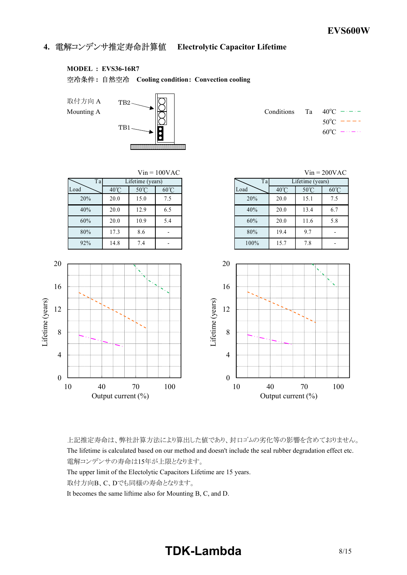**4. Electrolytic Capacitor Lifetime**

# **MODEL : EVS36-16R7**

**: Cooling condition: Convection cooling**



|  | Conditions Ta $40^{\circ}$ C $ -$ |
|--|-----------------------------------|
|  | $50^{\circ}$ C $-$ - - -          |
|  | $60^{\circ}C = -$                 |



上記推定寿命は、弊社計算方法により算出した値であり、封口ゴムの劣化等の影響を含めておりません。 The lifetime is calculated based on our method and doesn't include the seal rubber degradation effect etc. 電解コンデンサの寿命は15年が上限となります。

The upper limit of the Electolytic Capacitors Lifetime are 15 years.

取付方向B、C、Dでも同様の寿命となります。

It becomes the same liftime also for Mounting B, C, and D.

# **TDK-Lambda** 8/15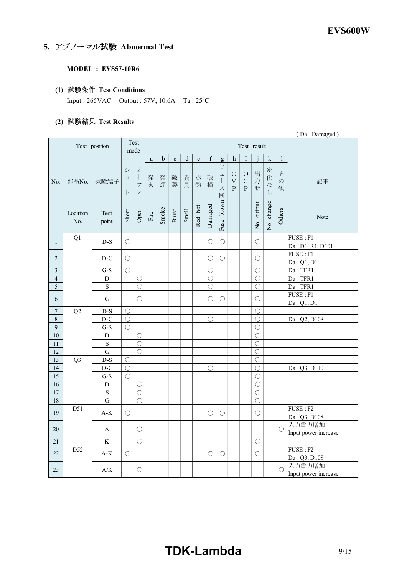# **5. アブノーマル試験 Abnormal Test**

#### **MODEL : EVS57-10R6**

# **(1) Test Conditions**

Input : 265VAC Output : 57V, 10.6A Ta : 25°C

# **(2) Test Results**

|                  | (Da: Damaged)   |                                |                                                       |                                                       |                       |        |             |             |           |             |                                  |                                               |                                        |                         |                         |                         |                                               |
|------------------|-----------------|--------------------------------|-------------------------------------------------------|-------------------------------------------------------|-----------------------|--------|-------------|-------------|-----------|-------------|----------------------------------|-----------------------------------------------|----------------------------------------|-------------------------|-------------------------|-------------------------|-----------------------------------------------|
|                  |                 | Test position                  |                                                       | Test<br>mode                                          | Test result           |        |             |             |           |             |                                  |                                               |                                        |                         |                         |                         |                                               |
|                  |                 |                                |                                                       |                                                       | $\rm{a}$              | b      | $\mathbf c$ | $\mathbf d$ | ${\bf e}$ | $\mathbf f$ | g                                | h                                             | I                                      |                         | ${\bf k}$               | 1                       |                                               |
| No.              | 部品No.           | 試験端子                           | $\ddot{\vee}$<br>$\equiv$<br>$\mathbf{I}$<br>$\vdash$ | 才<br>$\perp$<br>$\mathcal{I}^{\circ}$<br>$\checkmark$ | 発<br>火                | 発<br>煙 | 破<br>裂      | 異<br>臭      | 赤<br>熱    | 破<br>損      | ヒ<br>ユ<br>$\mathbf{I}$<br>ズ<br>断 | $\circ$<br>$\bar{\mathrm{V}}$<br>$\mathsf{P}$ | $\circ$<br>$\mathbf C$<br>$\mathsf{P}$ | 出<br>力<br>断             | 変<br>化<br>な<br>L        | そ<br>$\mathcal{O}$<br>他 | 記事                                            |
|                  | Location<br>No. | Test<br>point                  | Short                                                 | Open                                                  | $\operatorname{Fire}$ | Smoke  | Burst       | Smell       | Red hot   | Damaged     | Fuse blown                       |                                               |                                        | output<br>$\frac{1}{2}$ | change<br>$\frac{1}{2}$ | Others                  | Note                                          |
| $\mathbf{1}$     | Q1              | $D-S$                          | $\bigcirc$                                            |                                                       |                       |        |             |             |           | $\bigcirc$  | $\bigcirc$                       |                                               |                                        | $\bigcirc$              |                         |                         | FUSE: F1<br>Da: D1, R1, D101                  |
| $\overline{c}$   |                 | $D-G$                          | $\bigcirc$                                            |                                                       |                       |        |             |             |           | $\bigcirc$  | $\bigcirc$                       |                                               |                                        | $\bigcirc$              |                         |                         | FUSE: F1<br>Da:Q1, D1                         |
| 3                |                 | $G-S$                          | $\bigcirc$                                            |                                                       |                       |        |             |             |           | O           |                                  |                                               |                                        | $\bigcirc$              |                         |                         | Da: TFR1                                      |
| $\overline{4}$   |                 | D                              |                                                       | O                                                     |                       |        |             |             |           | $\bigcirc$  |                                  |                                               |                                        | $\bigcirc$              |                         |                         | Da: TFR1                                      |
| $\overline{5}$   |                 | $\overline{\mathbf{S}}$        |                                                       | $\bigcirc$                                            |                       |        |             |             |           | $\bigcirc$  |                                  |                                               |                                        | О                       |                         |                         | Da: TFR1                                      |
|                  |                 |                                |                                                       |                                                       |                       |        |             |             |           |             |                                  |                                               |                                        |                         |                         |                         | FUSE: F1                                      |
| 6                |                 | G                              |                                                       | $\bigcirc$                                            |                       |        |             |             |           | ∩           | $\bigcirc$                       |                                               |                                        | O                       |                         |                         | Da:Q1, D1                                     |
| $\boldsymbol{7}$ | Q2              | $D-S$                          | $\bigcirc$                                            |                                                       |                       |        |             |             |           |             |                                  |                                               |                                        | $\bigcirc$              |                         |                         |                                               |
| $\,8\,$          |                 | $D-G$                          | $\bigcirc$                                            |                                                       |                       |        |             |             |           | $\bigcirc$  |                                  |                                               |                                        | О                       |                         |                         | Da: Q2, D108                                  |
| $\overline{9}$   |                 | $G-S$                          | $\bigcirc$                                            |                                                       |                       |        |             |             |           |             |                                  |                                               |                                        | $\bigcirc$              |                         |                         |                                               |
| $10\,$           |                 | D                              |                                                       | O                                                     |                       |        |             |             |           |             |                                  |                                               |                                        | O                       |                         |                         |                                               |
| $11\,$           |                 | S                              |                                                       | O                                                     |                       |        |             |             |           |             |                                  |                                               |                                        | О                       |                         |                         |                                               |
| $12 \,$          |                 | G                              |                                                       | $\bigcirc$                                            |                       |        |             |             |           |             |                                  |                                               |                                        | О                       |                         |                         |                                               |
| 13               | Q <sub>3</sub>  | $D-S$                          | $\bigcirc$                                            |                                                       |                       |        |             |             |           |             |                                  |                                               |                                        | $\bigcirc$              |                         |                         |                                               |
| 14               |                 | $D-G$                          | $\bigcirc$                                            |                                                       |                       |        |             |             |           | O           |                                  |                                               |                                        | O                       |                         |                         | Da: Q3, D110                                  |
| 15               |                 | $G-S$                          | $\bigcirc$                                            |                                                       |                       |        |             |             |           |             |                                  |                                               |                                        | О                       |                         |                         |                                               |
| 16               |                 | D                              |                                                       | O                                                     |                       |        |             |             |           |             |                                  |                                               |                                        | О                       |                         |                         |                                               |
| $17\,$           |                 | $\mathbf S$                    |                                                       | $\bigcirc$                                            |                       |        |             |             |           |             |                                  |                                               |                                        | $\bigcirc$              |                         |                         |                                               |
| 18               |                 | $\mathbf G$                    |                                                       | $\bigcirc$                                            |                       |        |             |             |           |             |                                  |                                               |                                        | $\bigcirc$              |                         |                         |                                               |
| 19               | D51             | $A-K$                          | О                                                     |                                                       |                       |        |             |             |           | O           | $\bigcirc$                       |                                               |                                        | O                       |                         |                         | $\overline{\text{FUSE}}$ : F2<br>Da: Q3, D108 |
| 20               |                 | A                              |                                                       | ∩                                                     |                       |        |             |             |           |             |                                  |                                               |                                        |                         |                         | ∩                       | 入力電力増加<br>Input power increase                |
| 21               |                 | $\rm K$                        |                                                       | $\bigcirc$                                            |                       |        |             |             |           |             |                                  |                                               |                                        | О                       |                         |                         |                                               |
| 22               | D <sub>52</sub> | $\mathrm{A}\text{-}\mathrm{K}$ | $\bigcirc$                                            |                                                       |                       |        |             |             |           | $\bigcirc$  | $\bigcirc$                       |                                               |                                        | О                       |                         |                         | FUSE: F2<br>Da: Q3, D108                      |
| 23               |                 | $\rm A/K$                      |                                                       | $\bigcirc$                                            |                       |        |             |             |           |             |                                  |                                               |                                        |                         |                         | O                       | 入力電力増加<br>Input power increase                |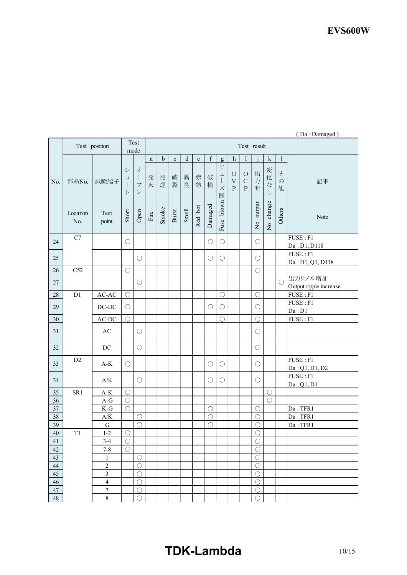|              |                 | Test position                             |                                        | Test<br>mode                                                    | Test result |             |             |         |             |             |                                               |                                             |                                        |                          |                          |                         |                                   |
|--------------|-----------------|-------------------------------------------|----------------------------------------|-----------------------------------------------------------------|-------------|-------------|-------------|---------|-------------|-------------|-----------------------------------------------|---------------------------------------------|----------------------------------------|--------------------------|--------------------------|-------------------------|-----------------------------------|
|              |                 |                                           |                                        |                                                                 | a           | $\mathbf b$ | $\mathbf c$ | $\rm d$ | $\mathbf e$ | $\mathbf f$ | g                                             | $\mathbf{h}$                                | I                                      |                          | $\mathbf k$              | $\mathbf{1}$            |                                   |
| No.          | 部品No.           | 試験端子                                      | シ<br>$\Xi$<br>$\mathbf{I}$<br>$\vdash$ | 才<br>$\begin{array}{c} \hline \end{array}$<br>プ<br>$\checkmark$ | 発<br>火      | 発<br>煙      | 破<br>裂      | 異<br>臭  | 赤<br>熱      | 破<br>損      | ヒ<br>$\mathrel{\sqcup}$<br>$\Big\}$<br>ズ<br>断 | $\circ$<br>$\boldsymbol{\nabla}$<br>$\rm P$ | $\circ$<br>$\mathsf{C}$<br>$\mathbf P$ | 出<br>力<br>断              | 変<br>化<br>$\vec{z}$<br>L | そ<br>$\mathcal{O}$<br>他 | 記事                                |
|              | Location<br>No. | Test<br>point                             | Short                                  | Open                                                            | Fire        | Smoke       | Burst       | Smell   | Red hot     | Damaged     | Fuse blown                                    |                                             |                                        | No output                | change<br>$\frac{1}{2}$  | Others                  | Note                              |
| 24           | C7              |                                           | $\bigcirc$                             |                                                                 |             |             |             |         |             | О           | $\bigcirc$                                    |                                             |                                        | $\bigcirc$               |                          |                         | FUSE: F1<br>Da: D1, D118          |
| 25           |                 |                                           |                                        | $\bigcirc$                                                      |             |             |             |         |             | О           | $\bigcirc$                                    |                                             |                                        | $\bigcirc$               |                          |                         | FUSE: F1<br>Da: D1, Q1, D118      |
| $26\,$       | C52             |                                           | $\bigcirc$                             |                                                                 |             |             |             |         |             |             |                                               |                                             |                                        | $\bigcirc$               |                          |                         |                                   |
| $27\,$       |                 |                                           |                                        | $\bigcirc$                                                      |             |             |             |         |             |             |                                               |                                             |                                        |                          |                          | $\bigcirc$              | 出力リプル増加<br>Output ripple increase |
| 28           | D <sub>1</sub>  | $AC-AC$                                   | $\bigcirc$                             |                                                                 |             |             |             |         |             |             | $\bigcirc$                                    |                                             |                                        | $\bigcirc$               |                          |                         | FUSE: F1                          |
| 29           |                 | $DC-DC$                                   | О                                      |                                                                 |             |             |             |         |             | О           | $\bigcirc$                                    |                                             |                                        | $\bigcirc$               |                          |                         | FUSE: F1<br>Da: D1                |
| $30\,$       |                 | AC-DC                                     | $\bigcirc$                             |                                                                 |             |             |             |         |             |             | $\bigcirc$                                    |                                             |                                        | $\bigcirc$               |                          |                         | FUSE: F1                          |
| 31           |                 | $\mathbf{A}\mathbf{C}$                    |                                        | $\bigcirc$                                                      |             |             |             |         |             |             |                                               |                                             |                                        | $\bigcirc$               |                          |                         |                                   |
| 32           |                 | $\rm DC$                                  |                                        | $\bigcirc$                                                      |             |             |             |         |             |             |                                               |                                             |                                        | $\bigcirc$               |                          |                         |                                   |
| 33           | D2              | $\mathbf{A}\text{-}\mathbf{K}$            | O                                      |                                                                 |             |             |             |         |             | $\bigcirc$  | $\bigcirc$                                    |                                             |                                        | $\bigcirc$               |                          |                         | FUSE : F1<br>Da: Q1, D1, D2       |
| 34           |                 | $\mathbf{A}/\mathbf{K}$                   |                                        | $\bigcirc$                                                      |             |             |             |         |             | $\bigcirc$  | $\bigcirc$                                    |                                             |                                        | $\bigcirc$               |                          |                         | FUSE: F1<br>Da:Q1, D1             |
| 35           | SR1             | $\mathbf{A}\text{-}\mathbf{K}$            | $\bigcirc$                             |                                                                 |             |             |             |         |             |             |                                               |                                             |                                        |                          | $\bigcirc$               |                         |                                   |
| $36\,$       |                 | $A-G$                                     | $\bigcirc$                             |                                                                 |             |             |             |         |             |             |                                               |                                             |                                        |                          | $\bigcirc$               |                         |                                   |
| $37\,$       |                 | $\mathbf{K}\text{-}\mathbf{G}$            | $\bigcirc$                             |                                                                 |             |             |             |         |             | $\bigcirc$  |                                               |                                             |                                        | $\bigcirc$               |                          |                         | Da: TFR1                          |
| 38           |                 | $\mathbf{A}/\mathbf{K}$                   |                                        | $\bigcirc$                                                      |             |             |             |         |             | $\bigcirc$  |                                               |                                             |                                        | $\bigcirc$               |                          |                         | Da: TFR1                          |
| 39           |                 | ${\bf G}$                                 |                                        | $\bigcirc$                                                      |             |             |             |         |             | $\bigcirc$  |                                               |                                             |                                        | $\bigcirc$               |                          |                         | Da: TFR1                          |
| 40           | T1              | $1 - 2$                                   | $\bigcirc$                             |                                                                 |             |             |             |         |             |             |                                               |                                             |                                        | $\bigcirc$               |                          |                         |                                   |
| 41           |                 | $3 - 4$                                   | $\bigcirc$                             |                                                                 |             |             |             |         |             |             |                                               |                                             |                                        | $\bigcirc$               |                          |                         |                                   |
| 42           |                 | $7 - 8$                                   | $\bigcirc$                             |                                                                 |             |             |             |         |             |             |                                               |                                             |                                        | $\bigcirc$               |                          |                         |                                   |
| 43           |                 | $\mathbf{1}$                              |                                        | $\bigcirc$                                                      |             |             |             |         |             |             |                                               |                                             |                                        | $\bigcirc$               |                          |                         |                                   |
| 44           |                 | $\overline{c}$                            |                                        | $\bigcirc$                                                      |             |             |             |         |             |             |                                               |                                             |                                        | $\bigcirc$               |                          |                         |                                   |
| 45           |                 | $\mathfrak{Z}$                            |                                        | $\bigcirc$                                                      |             |             |             |         |             |             |                                               |                                             |                                        | $\bigcirc$               |                          |                         |                                   |
| $46\,$<br>47 |                 | $\overline{\mathbf{4}}$<br>$\overline{7}$ |                                        | $\bigcirc$<br>$\bigcirc$                                        |             |             |             |         |             |             |                                               |                                             |                                        | $\bigcirc$<br>$\bigcirc$ |                          |                         |                                   |
| $48\,$       |                 | 8                                         |                                        | $\bigcirc$                                                      |             |             |             |         |             |             |                                               |                                             |                                        | $\bigcirc$               |                          |                         |                                   |
|              |                 |                                           |                                        |                                                                 |             |             |             |         |             |             |                                               |                                             |                                        |                          |                          |                         |                                   |

# ( Da : Damaged )

# **TDK-Lambda** 10/15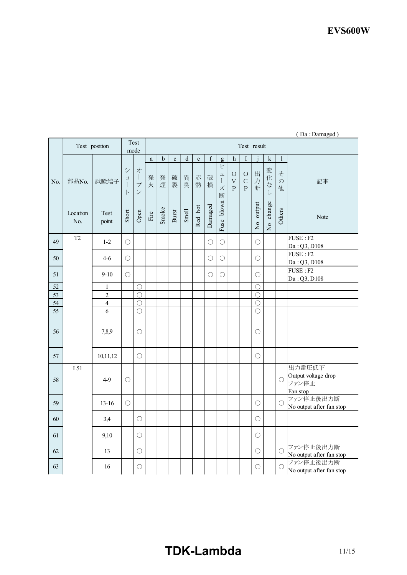|                 | Test position     |                     | Test<br>mode                                                      |                                                                         | Test result                     |                 |                 |                 |                   |                   |                                           |                                        |                                   |                          |                                         |                                   |                                                    |
|-----------------|-------------------|---------------------|-------------------------------------------------------------------|-------------------------------------------------------------------------|---------------------------------|-----------------|-----------------|-----------------|-------------------|-------------------|-------------------------------------------|----------------------------------------|-----------------------------------|--------------------------|-----------------------------------------|-----------------------------------|----------------------------------------------------|
| No.             |                   |                     |                                                                   |                                                                         | $\rm{a}$                        | b               | $\mathbf c$     | $\mathbf d$     | $\mathbf e$       | $\mathbf f$       | $\mathbf{g}$                              | h                                      | I                                 |                          | ${\bf k}$                               | $\mathbf{1}$                      |                                                    |
|                 | 部品No.<br>Location | 試験端子<br>Test        | $\ddot{\checkmark}$<br>$\Xi$<br>$\mathbf{I}$<br>$\vdash$<br>Short | 才<br>$\begin{array}{c} \hline \end{array}$<br>プ<br>$\checkmark$<br>Open | 発<br>火<br>$\operatorname{Fire}$ | 発<br>煙<br>Smoke | 破<br>裂<br>Burst | 異<br>臭<br>Smell | 赤<br>熱<br>Red hot | 破<br>損<br>Damaged | Ł<br>ュ<br>$\mathbf{I}$<br>ズ<br>断<br>blown | $\circ$<br>$\bar{V}$<br>$\overline{P}$ | $\circ$<br>$\mathbf C$<br>$\rm P$ | 出<br>力<br>断<br>output    | 変<br>化<br>$\vec{z}$<br>$\cup$<br>change | そ<br>$\mathcal{O}$<br>他<br>Others | 記事<br>Note                                         |
|                 | No.               | point               |                                                                   |                                                                         |                                 |                 |                 |                 |                   |                   | Fuse                                      |                                        |                                   | $\frac{1}{2}$            | $\overline{R}$                          |                                   |                                                    |
| 49              | T <sub>2</sub>    | $1 - 2$             | $\bigcirc$                                                        |                                                                         |                                 |                 |                 |                 |                   | $\bigcirc$        | $\bigcirc$                                |                                        |                                   | $\bigcirc$               |                                         |                                   | FUSE: F2<br>Da: Q3, D108                           |
| 50              |                   | $4-6$               | $\bigcirc$                                                        |                                                                         |                                 |                 |                 |                 |                   | $\bigcirc$        | $\bigcirc$                                |                                        |                                   | $\bigcirc$               |                                         |                                   | FUSE: F2<br>Da: Q3, D108                           |
| 51              |                   | $9 - 10$            | $\bigcirc$                                                        |                                                                         |                                 |                 |                 |                 |                   | O                 | $\bigcirc$                                |                                        |                                   | O                        |                                         |                                   | $FUSE: \overline{F2}$<br>Da: Q3, D108              |
| 52              |                   | $\mathbf{1}$        |                                                                   | $\bigcirc$                                                              |                                 |                 |                 |                 |                   |                   |                                           |                                        |                                   | $\bigcirc$               |                                         |                                   |                                                    |
| $\overline{53}$ |                   | $\overline{2}$      |                                                                   | O                                                                       |                                 |                 |                 |                 |                   |                   |                                           |                                        |                                   | O                        |                                         |                                   |                                                    |
| 54<br>55        |                   | $\overline{4}$<br>6 |                                                                   | $\bigcirc$<br>$\bigcirc$                                                |                                 |                 |                 |                 |                   |                   |                                           |                                        |                                   | $\bigcirc$<br>$\bigcirc$ |                                         |                                   |                                                    |
| 56              |                   | 7,8,9               |                                                                   | О                                                                       |                                 |                 |                 |                 |                   |                   |                                           |                                        |                                   | О                        |                                         |                                   |                                                    |
| 57              |                   | 10,11,12            |                                                                   | $\bigcirc$                                                              |                                 |                 |                 |                 |                   |                   |                                           |                                        |                                   | O                        |                                         |                                   |                                                    |
| 58              | L51               | $4-9$               | $\bigcirc$                                                        |                                                                         |                                 |                 |                 |                 |                   |                   |                                           |                                        |                                   |                          |                                         | $\bigcirc$                        | 出力電圧低下<br>Output voltage drop<br>ファン停止<br>Fan stop |
| 59              |                   | $13 - 16$           | $\bigcirc$                                                        |                                                                         |                                 |                 |                 |                 |                   |                   |                                           |                                        |                                   | $\bigcirc$               |                                         | $\bigcirc$                        | ファン停止後出力断<br>No output after fan stop              |
| 60              |                   | 3,4                 |                                                                   | О                                                                       |                                 |                 |                 |                 |                   |                   |                                           |                                        |                                   | $\bigcirc$               |                                         |                                   |                                                    |
| 61              |                   | 9,10                |                                                                   | $\bigcirc$                                                              |                                 |                 |                 |                 |                   |                   |                                           |                                        |                                   | $\bigcirc$               |                                         |                                   |                                                    |
| 62              |                   | 13                  |                                                                   | $\bigcirc$                                                              |                                 |                 |                 |                 |                   |                   |                                           |                                        |                                   | $\bigcirc$               |                                         | O                                 | ファン停止後出力断<br>No output after fan stop              |
| 63              |                   | 16                  |                                                                   | $\bigcirc$                                                              |                                 |                 |                 |                 |                   |                   |                                           |                                        |                                   | $\bigcirc$               |                                         | $\bigcirc$                        | ファン停止後出力断<br>No output after fan stop              |

# ( Da : Damaged )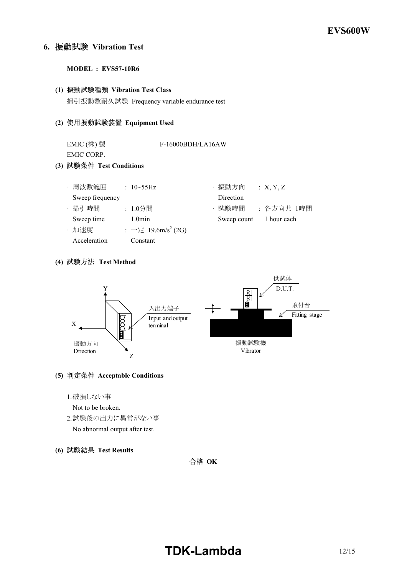# **6. Vibration Test**

#### **MODEL : EVS57-10R6**

# **(1) Vibration Test Class** 掃引振動数耐久試験 Frequency variable endurance test

**(2) Equipment Used**

| EMIC(株) 製<br>EMIC CORP.<br>(3) 試験条件 Test Conditions |                                             | F-16000BDH/LA16AW |                           |  |  |  |  |
|-----------------------------------------------------|---------------------------------------------|-------------------|---------------------------|--|--|--|--|
| · 周波数範囲                                             | : $10 \sim 55 \text{Hz}$                    | ・振動方向             | :X, Y, Z                  |  |  |  |  |
| Sweep frequency                                     |                                             | Direction         |                           |  |  |  |  |
| · 掃引時間                                              | :1.0分間                                      | ・試験時間             | : 各方向共 1時間<br>1 hour each |  |  |  |  |
| Sweep time<br>・加速度                                  | $1.0$ min<br>: 一定 19.6m/s <sup>2</sup> (2G) | Sweep count       |                           |  |  |  |  |

## **(4) Test Method**

Acceleration Constant



## **(5) Acceptable Conditions**

1.破損しない事

Not to be broken.

- 2.試験後の出力に異常がない事 No abnormal output after test.
- **(6) Test Results**

合格 OK

# **TDK-Lambda** 12/15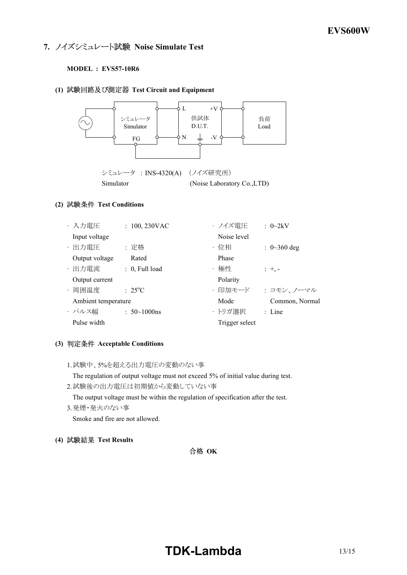# **7. ノイズシミュレート試験 Noise Simulate Test**

## **MODEL : EVS57-10R6**

## **(1) Test Circuit and Equipment**



## **(2) Test Conditions**

| ・入力電圧               | $: 100, 230$ VAC               | ・ノイズ雷圧         | $\therefore$ 0~2kV |
|---------------------|--------------------------------|----------------|--------------------|
| Input voltage       |                                | Noise level    |                    |
| · 出力電圧              | : 定格                           | ・位相            | : $0 \sim 360$ deg |
| Output voltage      | Rated                          | Phase          |                    |
| · 出力電流              | $: 0$ , Full load              | ·極性            | $: +,-$            |
| Output current      |                                | Polarity       |                    |
| ・周囲温度               | $\therefore$ 25 <sup>o</sup> C | ・印加モード         | : コモン、ノーマル         |
| Ambient temperature |                                | Mode           | Common, Normal     |
| ・パルス幅               | : $50 \sim 1000$ ns            | ・トリガ選択         | $\therefore$ Line  |
| Pulse width         |                                | Trigger select |                    |

## **(3) Acceptable Conditions**

1.試験中、5%を超える出力電圧の変動のない事

The regulation of output voltage must not exceed 5% of initial value during test.

- 2.試験後の出力電圧は初期値から変動していない事 The output voltage must be within the regulation of specification after the test.
- 3.発煙・発火のない事 Smoke and fire are not allowed.
- **(4) Test Results**

# 合格 OK

# **TDK-Lambda** 13/15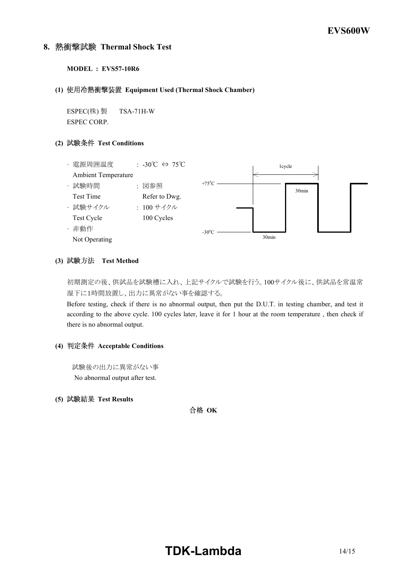## **8. Thermal Shock Test**

#### **MODEL : EVS57-10R6**

#### **(1) Equipment Used (Thermal Shock Chamber)**

ESPEC(株) 製 TSA-71H-W ESPEC CORP.

## **(2) Test Conditions**

![](_page_13_Figure_6.jpeg)

#### **(3) Test Method**

初期測定の後、供試品を試験槽に入れ、上記サイクルで試験を行う。100サイクル後に、供試品を常温常 湿下に1時間放置し、出力に異常がない事を確認する。

Before testing, check if there is no abnormal output, then put the D.U.T. in testing chamber, and test it according to the above cycle. 100 cycles later, leave it for 1 hour at the room temperature , then check if there is no abnormal output.

#### **(4) Acceptable Conditions**

試験後の出力に異常がない事 No abnormal output after test.

## **(5) Test Results**

合格 OK

# **TDKLambda** 14/15